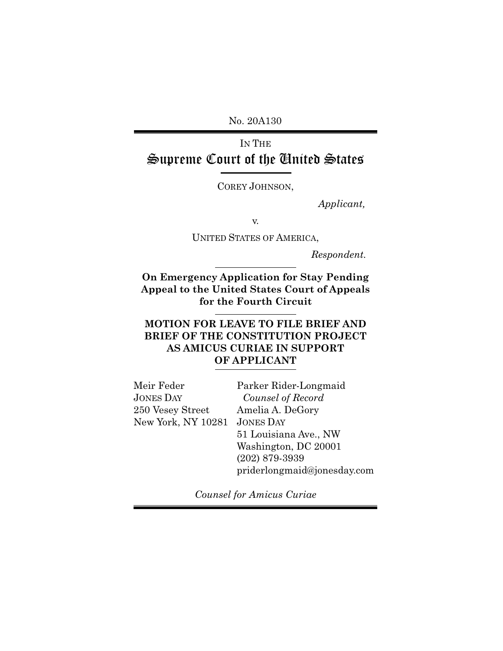No. 20A130

# IN THE Supreme Court of the United States

COREY JOHNSON,

*Applicant,* 

v.

UNITED STATES OF AMERICA,

*Respondent.*

**On Emergency Application for Stay Pending Appeal to the United States Court of Appeals for the Fourth Circuit**

### **MOTION FOR LEAVE TO FILE BRIEF AND BRIEF OF THE CONSTITUTION PROJECT AS AMICUS CURIAE IN SUPPORT OF APPLICANT**

| Meir Feder                   | Parker Rider-Longmaid       |
|------------------------------|-----------------------------|
| JONES DAY                    | Counsel of Record           |
| 250 Vesey Street             | Amelia A. DeGory            |
| New York, NY 10281 JONES DAY |                             |
|                              | 51 Louisiana Ave., NW       |
|                              | Washington, DC 20001        |
|                              | $(202)$ 879-3939            |
|                              | priderlongmaid@jonesday.com |
|                              |                             |

*Counsel for Amicus Curiae*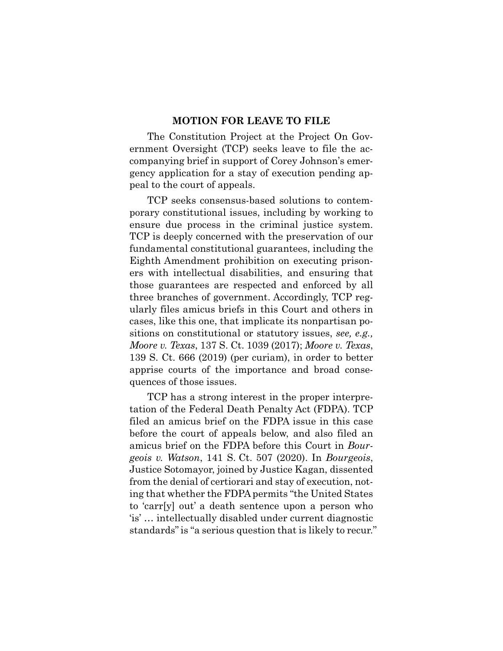#### **MOTION FOR LEAVE TO FILE**

The Constitution Project at the Project On Government Oversight (TCP) seeks leave to file the accompanying brief in support of Corey Johnson's emergency application for a stay of execution pending appeal to the court of appeals.

TCP seeks consensus-based solutions to contemporary constitutional issues, including by working to ensure due process in the criminal justice system. TCP is deeply concerned with the preservation of our fundamental constitutional guarantees, including the Eighth Amendment prohibition on executing prisoners with intellectual disabilities, and ensuring that those guarantees are respected and enforced by all three branches of government. Accordingly, TCP regularly files amicus briefs in this Court and others in cases, like this one, that implicate its nonpartisan positions on constitutional or statutory issues, *see, e.g., Moore v. Texas*, 137 S. Ct. 1039 (2017); *Moore v. Texas*, 139 S. Ct. 666 (2019) (per curiam), in order to better apprise courts of the importance and broad consequences of those issues.

TCP has a strong interest in the proper interpretation of the Federal Death Penalty Act (FDPA). TCP filed an amicus brief on the FDPA issue in this case before the court of appeals below, and also filed an amicus brief on the FDPA before this Court in *Bourgeois v. Watson*, 141 S. Ct. 507 (2020). In *Bourgeois*, Justice Sotomayor, joined by Justice Kagan, dissented from the denial of certiorari and stay of execution, noting that whether the FDPA permits "the United States to 'carr[y] out' a death sentence upon a person who 'is' … intellectually disabled under current diagnostic standards" is "a serious question that is likely to recur."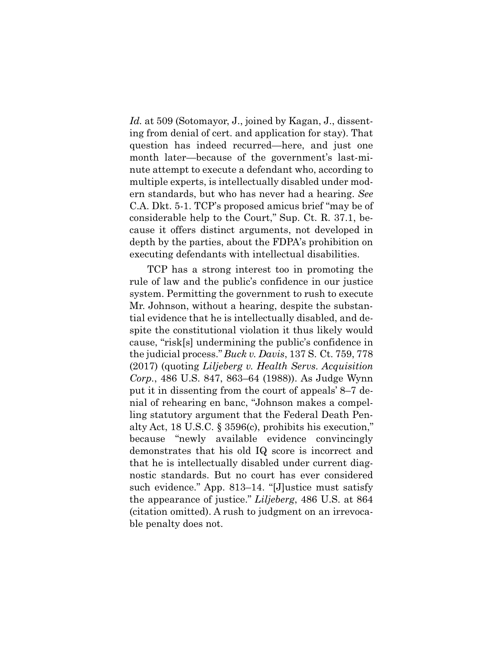*Id.* at 509 (Sotomayor, J., joined by Kagan, J., dissenting from denial of cert. and application for stay). That question has indeed recurred—here, and just one month later—because of the government's last-minute attempt to execute a defendant who, according to multiple experts, is intellectually disabled under modern standards, but who has never had a hearing. *See* C.A. Dkt. 5-1. TCP's proposed amicus brief "may be of considerable help to the Court," Sup. Ct. R. 37.1, because it offers distinct arguments, not developed in depth by the parties, about the FDPA's prohibition on executing defendants with intellectual disabilities.

TCP has a strong interest too in promoting the rule of law and the public's confidence in our justice system. Permitting the government to rush to execute Mr. Johnson, without a hearing, despite the substantial evidence that he is intellectually disabled, and despite the constitutional violation it thus likely would cause, "risk[s] undermining the public's confidence in the judicial process." *Buck v. Davis*, 137 S. Ct. 759, 778 (2017) (quoting *Liljeberg v. Health Servs. Acquisition Corp.*, 486 U.S. 847, 863–64 (1988)). As Judge Wynn put it in dissenting from the court of appeals' 8–7 denial of rehearing en banc, "Johnson makes a compelling statutory argument that the Federal Death Penalty Act, 18 U.S.C. § 3596(c), prohibits his execution," because "newly available evidence convincingly demonstrates that his old IQ score is incorrect and that he is intellectually disabled under current diagnostic standards. But no court has ever considered such evidence." App. 813–14. "[J]ustice must satisfy the appearance of justice." *Liljeberg*, 486 U.S. at 864 (citation omitted). A rush to judgment on an irrevocable penalty does not.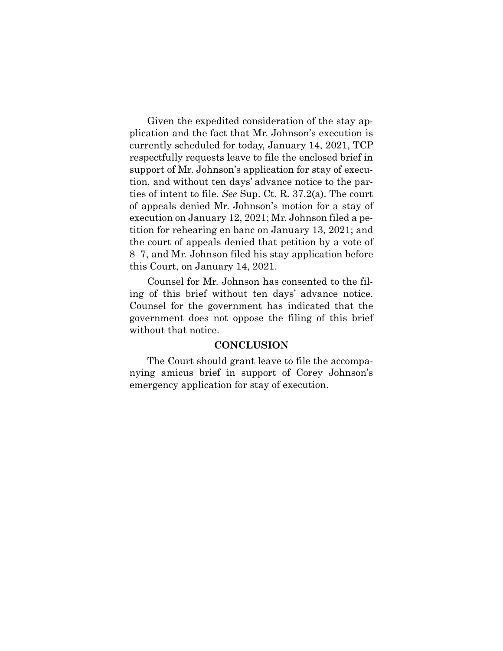Given the expedited consideration of the stay application and the fact that Mr. Johnson's execution is currently scheduled for today, January 14, 2021, TCP respectfully requests leave to file the enclosed brief in support of Mr. Johnson's application for stay of execution, and without ten days' advance notice to the parties of intent to file. *See* Sup. Ct. R. 37.2(a). The court of appeals denied Mr. Johnson's motion for a stay of execution on January 12, 2021; Mr. Johnson filed a petition for rehearing en banc on January 13, 2021; and the court of appeals denied that petition by a vote of 8–7, and Mr. Johnson filed his stay application before this Court, on January 14, 2021.

Counsel for Mr. Johnson has consented to the filing of this brief without ten days' advance notice. Counsel for the government has indicated that the government does not oppose the filing of this brief without that notice.

#### **CONCLUSION**

The Court should grant leave to file the accompanying amicus brief in support of Corey Johnson's emergency application for stay of execution.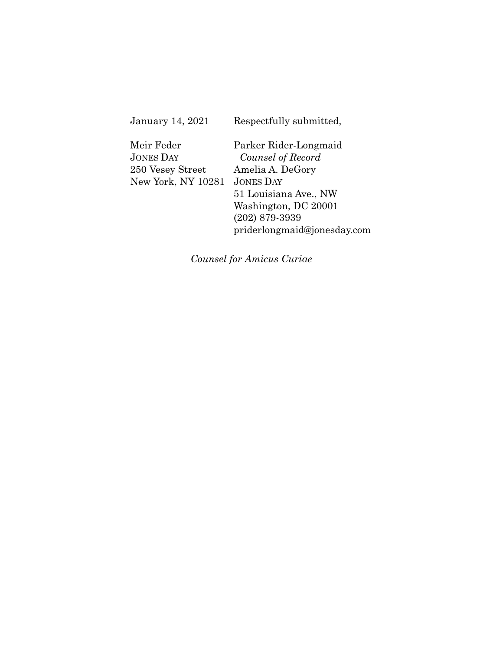| January 14, 2021 |  |  |
|------------------|--|--|
|------------------|--|--|

Respectfully submitted,

Meir Feder JONES DAY 250 Vesey Street New York, NY 10281 JONES DAY

Parker Rider-Longmaid *Counsel of Record*  Amelia A. DeGory 51 Louisiana Ave., NW Washington, DC 20001 (202) 879-3939 priderlongmaid@jonesday.com

*Counsel for Amicus Curiae*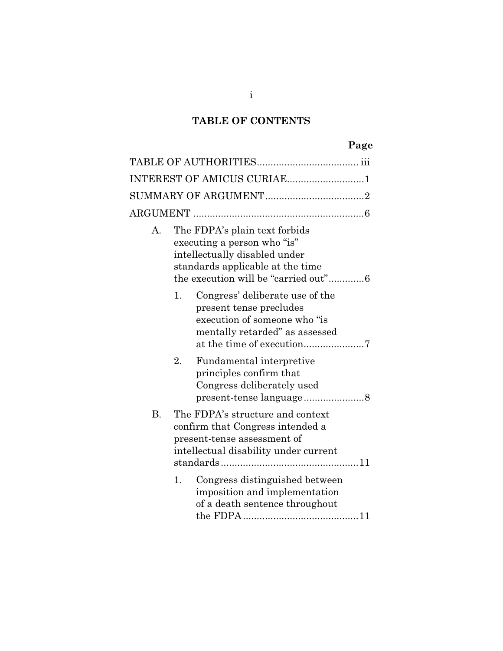# **TABLE OF CONTENTS**

|           | INTEREST OF AMICUS CURIAE1                                                                                                                                                |
|-----------|---------------------------------------------------------------------------------------------------------------------------------------------------------------------------|
|           |                                                                                                                                                                           |
|           |                                                                                                                                                                           |
| А.        | The FDPA's plain text forbids<br>executing a person who "is"<br>intellectually disabled under<br>standards applicable at the time<br>the execution will be "carried out"6 |
|           | Congress' deliberate use of the<br>1.<br>present tense precludes<br>execution of someone who "is<br>mentally retarded" as assessed<br>at the time of execution7           |
|           | 2.<br>Fundamental interpretive<br>principles confirm that<br>Congress deliberately used                                                                                   |
| <b>B.</b> | The FDPA's structure and context<br>confirm that Congress intended a<br>present-tense assessment of<br>intellectual disability under current                              |
|           | Congress distinguished between<br>1.<br>imposition and implementation<br>of a death sentence throughout                                                                   |

i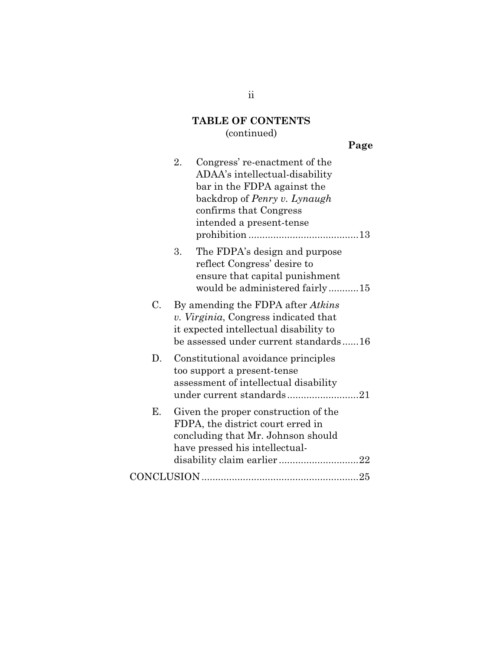# **TABLE OF CONTENTS**

# (continued)

|    | 2.<br>Congress' re-enactment of the<br>ADAA's intellectual-disability<br>bar in the FDPA against the<br>backdrop of Penry v. Lynaugh<br>confirms that Congress<br>intended a present-tense |  |
|----|--------------------------------------------------------------------------------------------------------------------------------------------------------------------------------------------|--|
|    | The FDPA's design and purpose<br>3.<br>reflect Congress' desire to<br>ensure that capital punishment<br>would be administered fairly15                                                     |  |
| C. | By amending the FDPA after <i>Atkins</i><br>v. Virginia, Congress indicated that<br>it expected intellectual disability to<br>be assessed under current standards16                        |  |
| D. | Constitutional avoidance principles<br>too support a present-tense<br>assessment of intellectual disability<br>under current standards21                                                   |  |
| Е. | Given the proper construction of the<br>FDPA, the district court erred in<br>concluding that Mr. Johnson should<br>have pressed his intellectual-                                          |  |
|    |                                                                                                                                                                                            |  |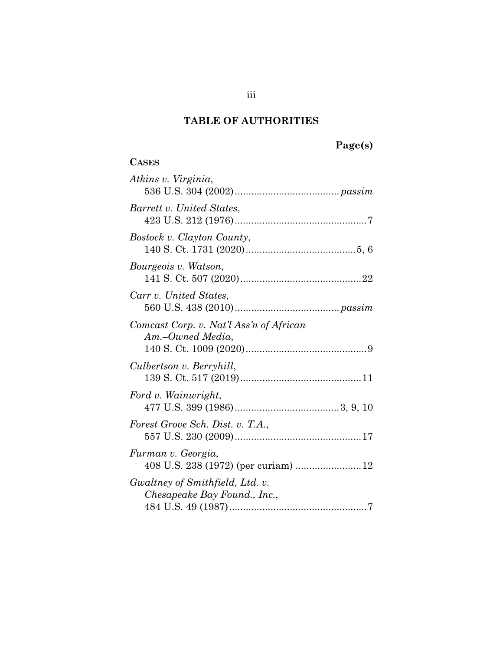# **TABLE OF AUTHORITIES**

# **Page(s)**

# **CASES**

| Atkins v. Virginia,                                             |
|-----------------------------------------------------------------|
| Barrett v. United States,                                       |
| Bostock v. Clayton County,                                      |
| Bourgeois v. Watson,                                            |
| Carr v. United States,                                          |
| Comcast Corp. v. Nat'l Ass'n of African<br>Am.–Owned Media,     |
| Culbertson v. Berryhill,                                        |
| Ford v. Wainwright,                                             |
| Forest Grove Sch. Dist. v. T.A.,                                |
| Furman v. Georgia,<br>408 U.S. 238 (1972) (per curiam) 12       |
| Gwaltney of Smithfield, Ltd. v.<br>Chesapeake Bay Found., Inc., |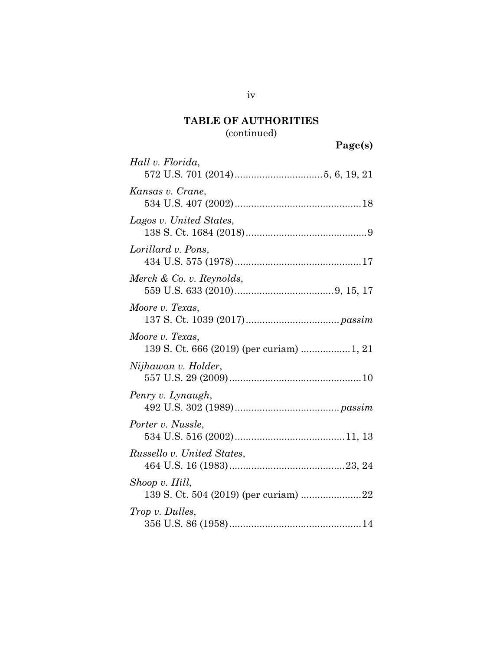# **TABLE OF AUTHORITIES**  (continued)

**Page(s)** 

| Hall v. Florida,                                            |
|-------------------------------------------------------------|
| Kansas v. Crane,                                            |
| Lagos v. United States,                                     |
| Lorillard v. Pons,                                          |
| Merck & Co. v. Reynolds,                                    |
| Moore v. Texas,                                             |
| Moore v. Texas,<br>139 S. Ct. 666 (2019) (per curiam) 1, 21 |
| Nijhawan v. Holder,                                         |
| Penry v. Lynaugh,                                           |
| Porter v. Nussle,                                           |
| Russello v. United States,                                  |
| Shoop v. Hill,<br>139 S. Ct. 504 (2019) (per curiam) 22     |
| Trop v. Dulles,                                             |

iv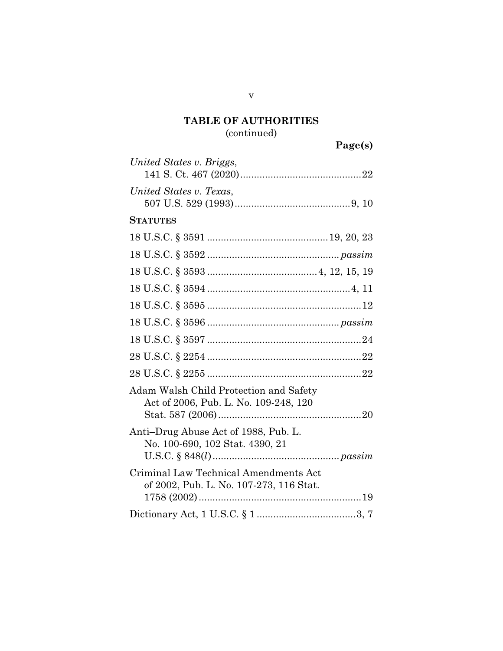# **TABLE OF AUTHORITIES**  (continued)

| United States v. Briggs,                                                         |
|----------------------------------------------------------------------------------|
| United States v. Texas,                                                          |
| <b>STATUTES</b>                                                                  |
|                                                                                  |
|                                                                                  |
|                                                                                  |
|                                                                                  |
|                                                                                  |
|                                                                                  |
|                                                                                  |
|                                                                                  |
|                                                                                  |
| Adam Walsh Child Protection and Safety<br>Act of 2006, Pub. L. No. 109-248, 120  |
| Anti-Drug Abuse Act of 1988, Pub. L.<br>No. 100-690, 102 Stat. 4390, 21          |
| Criminal Law Technical Amendments Act<br>of 2002, Pub. L. No. 107-273, 116 Stat. |
|                                                                                  |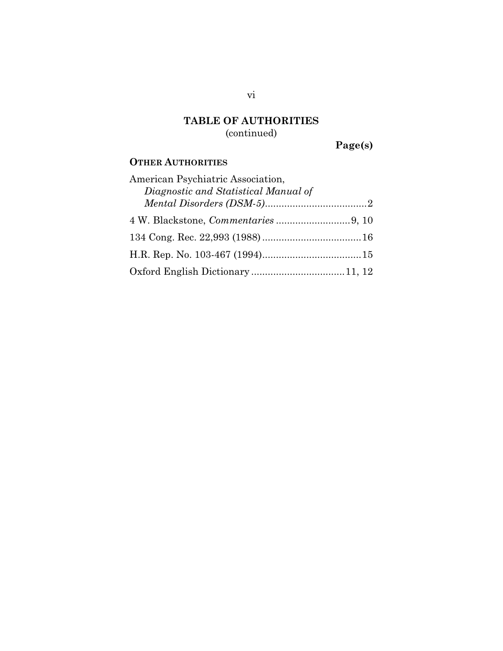# **TABLE OF AUTHORITIES**  (continued)

**Page(s)** 

### **OTHER AUTHORITIES**

| American Psychiatric Association,    |  |
|--------------------------------------|--|
| Diagnostic and Statistical Manual of |  |
|                                      |  |
|                                      |  |
|                                      |  |
|                                      |  |
|                                      |  |

vi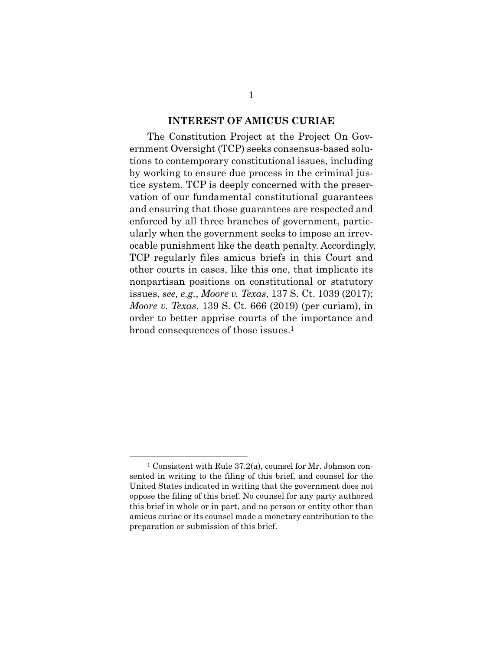#### **INTEREST OF AMICUS CURIAE**

The Constitution Project at the Project On Government Oversight (TCP) seeks consensus-based solutions to contemporary constitutional issues, including by working to ensure due process in the criminal justice system. TCP is deeply concerned with the preservation of our fundamental constitutional guarantees and ensuring that those guarantees are respected and enforced by all three branches of government, particularly when the government seeks to impose an irrevocable punishment like the death penalty. Accordingly, TCP regularly files amicus briefs in this Court and other courts in cases, like this one, that implicate its nonpartisan positions on constitutional or statutory issues, *see, e.g.*, *Moore v. Texas*, 137 S. Ct. 1039 (2017); *Moore v. Texas*, 139 S. Ct. 666 (2019) (per curiam), in order to better apprise courts of the importance and broad consequences of those issues.1

 <sup>1</sup> Consistent with Rule 37.2(a), counsel for Mr. Johnson consented in writing to the filing of this brief, and counsel for the United States indicated in writing that the government does not oppose the filing of this brief. No counsel for any party authored this brief in whole or in part, and no person or entity other than amicus curiae or its counsel made a monetary contribution to the preparation or submission of this brief.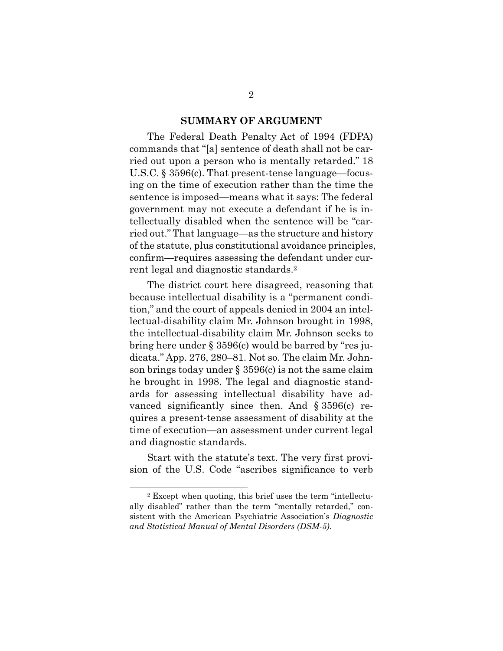#### **SUMMARY OF ARGUMENT**

The Federal Death Penalty Act of 1994 (FDPA) commands that "[a] sentence of death shall not be carried out upon a person who is mentally retarded." 18 U.S.C. § 3596(c). That present-tense language—focusing on the time of execution rather than the time the sentence is imposed—means what it says: The federal government may not execute a defendant if he is intellectually disabled when the sentence will be "carried out." That language—as the structure and history of the statute, plus constitutional avoidance principles, confirm—requires assessing the defendant under current legal and diagnostic standards.2

The district court here disagreed, reasoning that because intellectual disability is a "permanent condition," and the court of appeals denied in 2004 an intellectual-disability claim Mr. Johnson brought in 1998, the intellectual-disability claim Mr. Johnson seeks to bring here under § 3596(c) would be barred by "res judicata." App. 276, 280–81. Not so. The claim Mr. Johnson brings today under  $\S 3596(c)$  is not the same claim he brought in 1998. The legal and diagnostic standards for assessing intellectual disability have advanced significantly since then. And § 3596(c) requires a present-tense assessment of disability at the time of execution—an assessment under current legal and diagnostic standards.

Start with the statute's text. The very first provision of the U.S. Code "ascribes significance to verb

 <sup>2</sup> Except when quoting, this brief uses the term "intellectually disabled" rather than the term "mentally retarded," consistent with the American Psychiatric Association's *Diagnostic and Statistical Manual of Mental Disorders (DSM-5)*.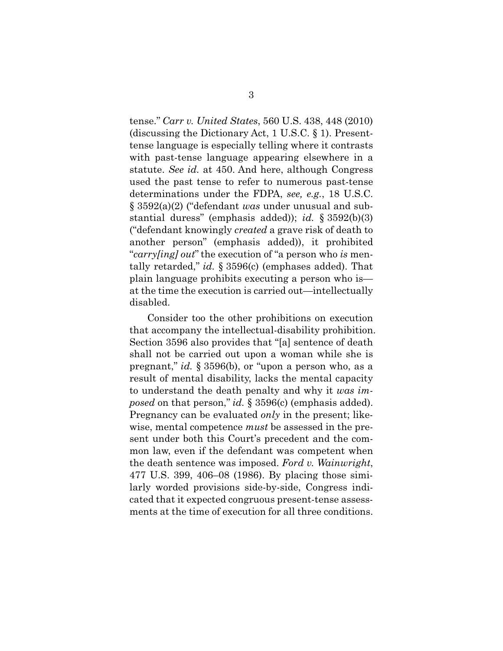tense." *Carr v. United States*, 560 U.S. 438, 448 (2010) (discussing the Dictionary Act, 1 U.S.C. § 1). Presenttense language is especially telling where it contrasts with past-tense language appearing elsewhere in a statute. *See id.* at 450. And here, although Congress used the past tense to refer to numerous past-tense determinations under the FDPA, *see, e.g.*, 18 U.S.C. § 3592(a)(2) ("defendant *was* under unusual and substantial duress" (emphasis added)); *id.* § 3592(b)(3) ("defendant knowingly *created* a grave risk of death to another person" (emphasis added)), it prohibited "*carry[ing] out*" the execution of "a person who *is* mentally retarded," *id.* § 3596(c) (emphases added). That plain language prohibits executing a person who is at the time the execution is carried out—intellectually disabled.

Consider too the other prohibitions on execution that accompany the intellectual-disability prohibition. Section 3596 also provides that "[a] sentence of death shall not be carried out upon a woman while she is pregnant," *id.* § 3596(b), or "upon a person who, as a result of mental disability, lacks the mental capacity to understand the death penalty and why it *was imposed* on that person," *id.* § 3596(c) (emphasis added). Pregnancy can be evaluated *only* in the present; likewise, mental competence *must* be assessed in the present under both this Court's precedent and the common law, even if the defendant was competent when the death sentence was imposed. *Ford v. Wainwright*, 477 U.S. 399, 406–08 (1986). By placing those similarly worded provisions side-by-side, Congress indicated that it expected congruous present-tense assessments at the time of execution for all three conditions.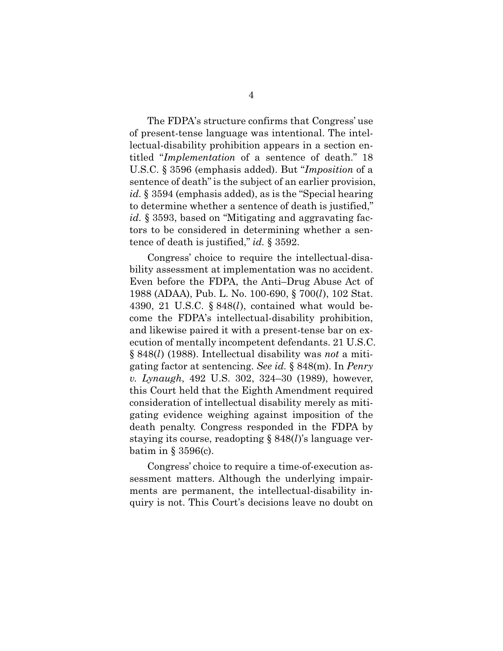The FDPA's structure confirms that Congress' use of present-tense language was intentional. The intellectual-disability prohibition appears in a section entitled "*Implementation* of a sentence of death." 18 U.S.C. § 3596 (emphasis added). But "*Imposition* of a sentence of death" is the subject of an earlier provision, *id.* § 3594 (emphasis added), as is the "Special hearing to determine whether a sentence of death is justified," *id.* § 3593, based on "Mitigating and aggravating factors to be considered in determining whether a sentence of death is justified," *id.* § 3592.

Congress' choice to require the intellectual-disability assessment at implementation was no accident. Even before the FDPA, the Anti–Drug Abuse Act of 1988 (ADAA), Pub. L. No. 100-690, § 700(*l*), 102 Stat. 4390, 21 U.S.C. § 848(*l*), contained what would become the FDPA's intellectual-disability prohibition, and likewise paired it with a present-tense bar on execution of mentally incompetent defendants. 21 U.S.C. § 848(*l*) (1988). Intellectual disability was *not* a mitigating factor at sentencing. *See id.* § 848(m). In *Penry v. Lynaugh*, 492 U.S. 302, 324–30 (1989), however, this Court held that the Eighth Amendment required consideration of intellectual disability merely as mitigating evidence weighing against imposition of the death penalty. Congress responded in the FDPA by staying its course, readopting § 848(*l*)'s language verbatim in  $\S 3596(c)$ .

Congress' choice to require a time-of-execution assessment matters. Although the underlying impairments are permanent, the intellectual-disability inquiry is not. This Court's decisions leave no doubt on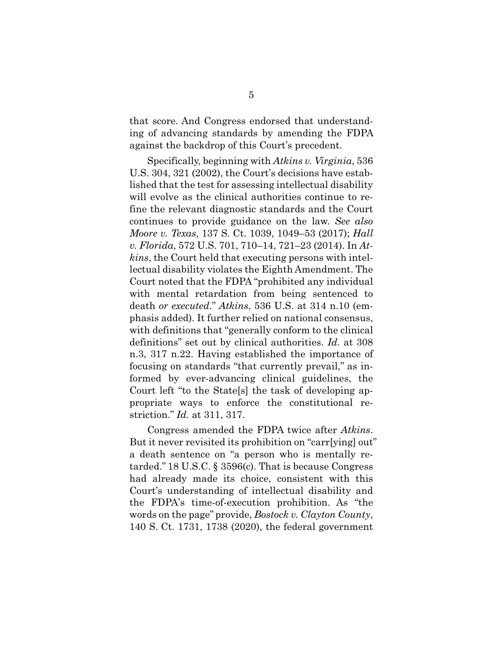that score. And Congress endorsed that understanding of advancing standards by amending the FDPA against the backdrop of this Court's precedent.

Specifically, beginning with *Atkins v. Virginia*, 536 U.S. 304, 321 (2002), the Court's decisions have established that the test for assessing intellectual disability will evolve as the clinical authorities continue to refine the relevant diagnostic standards and the Court continues to provide guidance on the law. *See also Moore v. Texas*, 137 S. Ct. 1039, 1049–53 (2017); *Hall v. Florida*, 572 U.S. 701, 710–14, 721–23 (2014). In *Atkins*, the Court held that executing persons with intellectual disability violates the Eighth Amendment. The Court noted that the FDPA "prohibited any individual with mental retardation from being sentenced to death *or executed*." *Atkins*, 536 U.S. at 314 n.10 (emphasis added). It further relied on national consensus, with definitions that "generally conform to the clinical definitions" set out by clinical authorities. *Id.* at 308 n.3, 317 n.22. Having established the importance of focusing on standards "that currently prevail," as informed by ever-advancing clinical guidelines, the Court left "to the State[s] the task of developing appropriate ways to enforce the constitutional restriction." *Id.* at 311, 317.

Congress amended the FDPA twice after *Atkins*. But it never revisited its prohibition on "carr[ying] out" a death sentence on "a person who is mentally retarded." 18 U.S.C. § 3596(c). That is because Congress had already made its choice, consistent with this Court's understanding of intellectual disability and the FDPA's time-of-execution prohibition. As "the words on the page" provide, *Bostock v. Clayton County*, 140 S. Ct. 1731, 1738 (2020), the federal government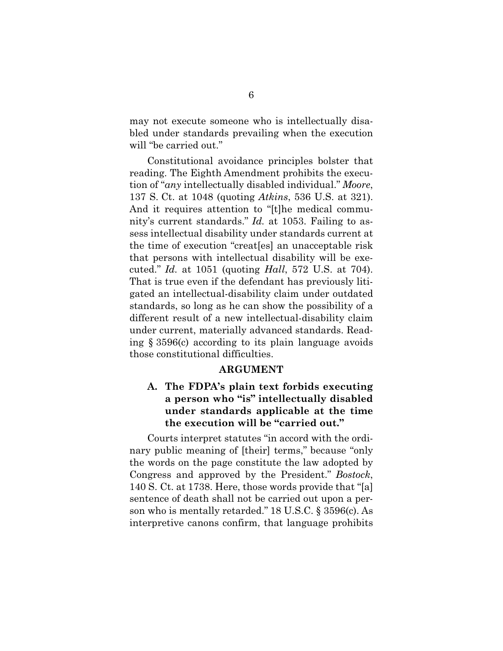may not execute someone who is intellectually disabled under standards prevailing when the execution will "be carried out."

Constitutional avoidance principles bolster that reading. The Eighth Amendment prohibits the execution of "*any* intellectually disabled individual." *Moore*, 137 S. Ct. at 1048 (quoting *Atkins*, 536 U.S. at 321). And it requires attention to "[t]he medical community's current standards." *Id.* at 1053. Failing to assess intellectual disability under standards current at the time of execution "creat[es] an unacceptable risk that persons with intellectual disability will be executed." *Id.* at 1051 (quoting *Hall*, 572 U.S. at 704). That is true even if the defendant has previously litigated an intellectual-disability claim under outdated standards, so long as he can show the possibility of a different result of a new intellectual-disability claim under current, materially advanced standards. Reading § 3596(c) according to its plain language avoids those constitutional difficulties.

#### **ARGUMENT**

### **A. The FDPA's plain text forbids executing a person who "is" intellectually disabled under standards applicable at the time the execution will be "carried out."**

Courts interpret statutes "in accord with the ordinary public meaning of [their] terms," because "only the words on the page constitute the law adopted by Congress and approved by the President." *Bostock*, 140 S. Ct. at 1738. Here, those words provide that "[a] sentence of death shall not be carried out upon a person who is mentally retarded." 18 U.S.C. § 3596(c). As interpretive canons confirm, that language prohibits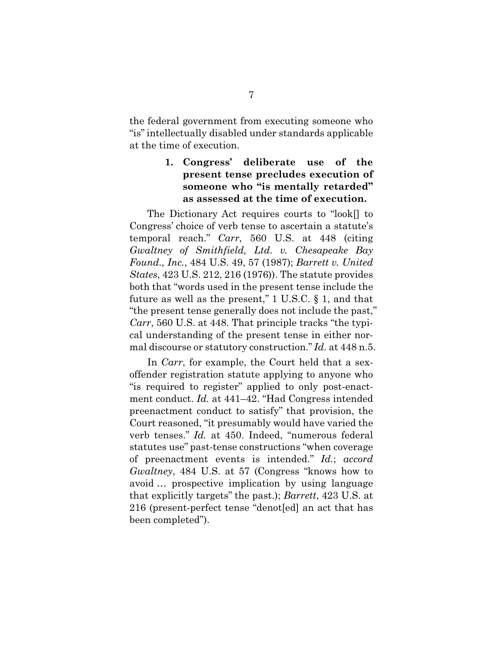the federal government from executing someone who "is" intellectually disabled under standards applicable at the time of execution.

### **1. Congress' deliberate use of the present tense precludes execution of someone who "is mentally retarded" as assessed at the time of execution.**

The Dictionary Act requires courts to "look[] to Congress' choice of verb tense to ascertain a statute's temporal reach." *Carr*, 560 U.S. at 448 (citing *Gwaltney of Smithfield, Ltd. v. Chesapeake Bay Found., Inc.*, 484 U.S. 49, 57 (1987); *Barrett v. United States*, 423 U.S. 212, 216 (1976)). The statute provides both that "words used in the present tense include the future as well as the present,"  $1 \text{ U.S.C. }$  § 1, and that "the present tense generally does not include the past," *Carr*, 560 U.S. at 448. That principle tracks "the typical understanding of the present tense in either normal discourse or statutory construction." *Id.* at 448 n.5.

In *Carr*, for example, the Court held that a sexoffender registration statute applying to anyone who "is required to register" applied to only post-enactment conduct. *Id.* at 441–42. "Had Congress intended preenactment conduct to satisfy" that provision, the Court reasoned, "it presumably would have varied the verb tenses." *Id.* at 450. Indeed, "numerous federal statutes use" past-tense constructions "when coverage of preenactment events is intended." *Id.*; *accord Gwaltney*, 484 U.S. at 57 (Congress "knows how to avoid … prospective implication by using language that explicitly targets" the past.); *Barrett*, 423 U.S. at 216 (present-perfect tense "denot[ed] an act that has been completed").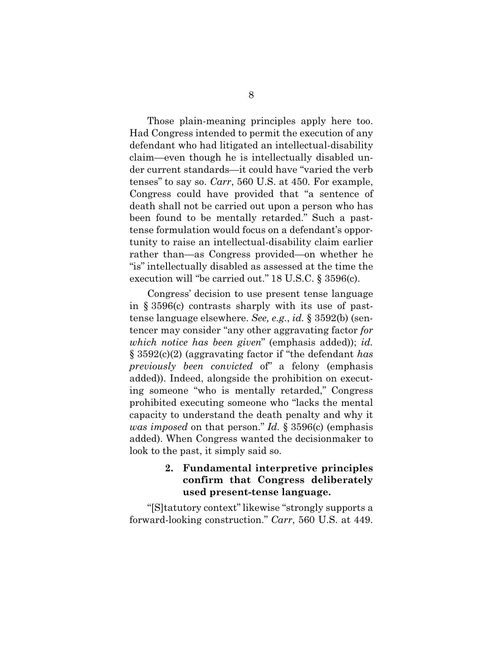Those plain-meaning principles apply here too. Had Congress intended to permit the execution of any defendant who had litigated an intellectual-disability claim—even though he is intellectually disabled under current standards—it could have "varied the verb tenses" to say so. *Carr*, 560 U.S. at 450*.* For example, Congress could have provided that "a sentence of death shall not be carried out upon a person who has been found to be mentally retarded." Such a pasttense formulation would focus on a defendant's opportunity to raise an intellectual-disability claim earlier rather than—as Congress provided—on whether he "is" intellectually disabled as assessed at the time the execution will "be carried out." 18 U.S.C. § 3596(c).

Congress' decision to use present tense language in § 3596(c) contrasts sharply with its use of pasttense language elsewhere. *See, e.g.*, *id.* § 3592(b) (sentencer may consider "any other aggravating factor *for which notice has been given*" (emphasis added)); *id.* § 3592(c)(2) (aggravating factor if "the defendant *has previously been convicted* of" a felony (emphasis added)). Indeed, alongside the prohibition on executing someone "who is mentally retarded," Congress prohibited executing someone who "lacks the mental capacity to understand the death penalty and why it *was imposed* on that person." *Id.* § 3596(c) (emphasis added). When Congress wanted the decisionmaker to look to the past, it simply said so.

### **2. Fundamental interpretive principles confirm that Congress deliberately used present-tense language.**

"[S]tatutory context" likewise "strongly supports a forward-looking construction." *Carr*, 560 U.S. at 449.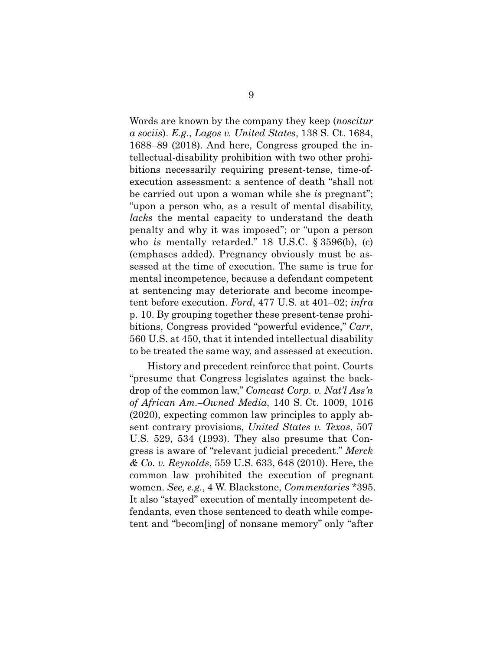Words are known by the company they keep (*noscitur a sociis*). *E.g.*, *Lagos v. United States*, 138 S. Ct. 1684, 1688–89 (2018). And here, Congress grouped the intellectual-disability prohibition with two other prohibitions necessarily requiring present-tense, time-ofexecution assessment: a sentence of death "shall not be carried out upon a woman while she *is* pregnant"; "upon a person who, as a result of mental disability, *lacks* the mental capacity to understand the death penalty and why it was imposed"; or "upon a person who *is* mentally retarded." 18 U.S.C. § 3596(b), (c) (emphases added). Pregnancy obviously must be assessed at the time of execution. The same is true for mental incompetence, because a defendant competent at sentencing may deteriorate and become incompetent before execution. *Ford*, 477 U.S. at 401–02; *infra* p. 10. By grouping together these present-tense prohibitions, Congress provided "powerful evidence," *Carr*, 560 U.S. at 450, that it intended intellectual disability to be treated the same way, and assessed at execution.

History and precedent reinforce that point. Courts "presume that Congress legislates against the backdrop of the common law," *Comcast Corp. v. Nat'l Ass'n of African Am.–Owned Media*, 140 S. Ct. 1009, 1016 (2020), expecting common law principles to apply absent contrary provisions, *United States v. Texas*, 507 U.S. 529, 534 (1993). They also presume that Congress is aware of "relevant judicial precedent." *Merck & Co. v. Reynolds*, 559 U.S. 633, 648 (2010). Here, the common law prohibited the execution of pregnant women. *See, e.g.*, 4 W. Blackstone, *Commentaries* \*395. It also "stayed" execution of mentally incompetent defendants, even those sentenced to death while competent and "becom[ing] of nonsane memory" only "after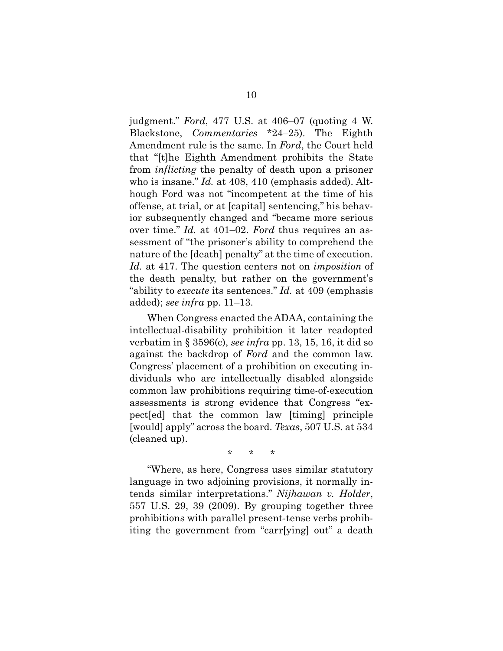judgment." *Ford*, 477 U.S. at 406–07 (quoting 4 W. Blackstone, *Commentaries* \*24–25). The Eighth Amendment rule is the same. In *Ford*, the Court held that "[t]he Eighth Amendment prohibits the State from *inflicting* the penalty of death upon a prisoner who is insane." *Id.* at 408, 410 (emphasis added). Although Ford was not "incompetent at the time of his offense, at trial, or at [capital] sentencing," his behavior subsequently changed and "became more serious over time." *Id.* at 401–02. *Ford* thus requires an assessment of "the prisoner's ability to comprehend the nature of the [death] penalty" at the time of execution. *Id.* at 417. The question centers not on *imposition* of the death penalty, but rather on the government's "ability to *execute* its sentences." *Id.* at 409 (emphasis added); *see infra* pp. 11–13.

When Congress enacted the ADAA, containing the intellectual-disability prohibition it later readopted verbatim in § 3596(c), *see infra* pp. 13, 15, 16, it did so against the backdrop of *Ford* and the common law. Congress' placement of a prohibition on executing individuals who are intellectually disabled alongside common law prohibitions requiring time-of-execution assessments is strong evidence that Congress "expect[ed] that the common law [timing] principle [would] apply" across the board. *Texas*, 507 U.S. at 534 (cleaned up).

\* \* \*

"Where, as here, Congress uses similar statutory language in two adjoining provisions, it normally intends similar interpretations." *Nijhawan v. Holder*, 557 U.S. 29, 39 (2009). By grouping together three prohibitions with parallel present-tense verbs prohibiting the government from "carr[ying] out" a death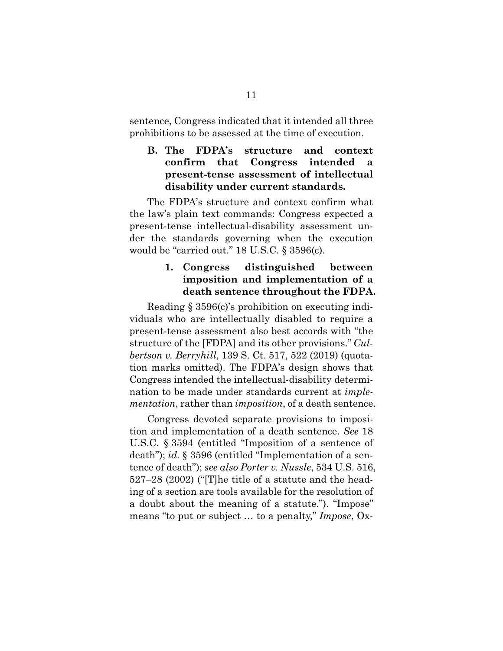sentence, Congress indicated that it intended all three prohibitions to be assessed at the time of execution.

### **B. The FDPA's structure and context confirm that Congress intended a present-tense assessment of intellectual disability under current standards.**

The FDPA's structure and context confirm what the law's plain text commands: Congress expected a present-tense intellectual-disability assessment under the standards governing when the execution would be "carried out." 18 U.S.C. § 3596(c).

### **1. Congress distinguished between imposition and implementation of a death sentence throughout the FDPA.**

Reading § 3596(c)'s prohibition on executing individuals who are intellectually disabled to require a present-tense assessment also best accords with "the structure of the [FDPA] and its other provisions." *Culbertson v. Berryhill*, 139 S. Ct. 517, 522 (2019) (quotation marks omitted). The FDPA's design shows that Congress intended the intellectual-disability determination to be made under standards current at *implementation*, rather than *imposition*, of a death sentence.

Congress devoted separate provisions to imposition and implementation of a death sentence. *See* 18 U.S.C. § 3594 (entitled "Imposition of a sentence of death"); *id.* § 3596 (entitled "Implementation of a sentence of death"); *see also Porter v. Nussle*, 534 U.S. 516, 527–28 (2002) ("[T]he title of a statute and the heading of a section are tools available for the resolution of a doubt about the meaning of a statute."). "Impose" means "to put or subject … to a penalty," *Impose*, Ox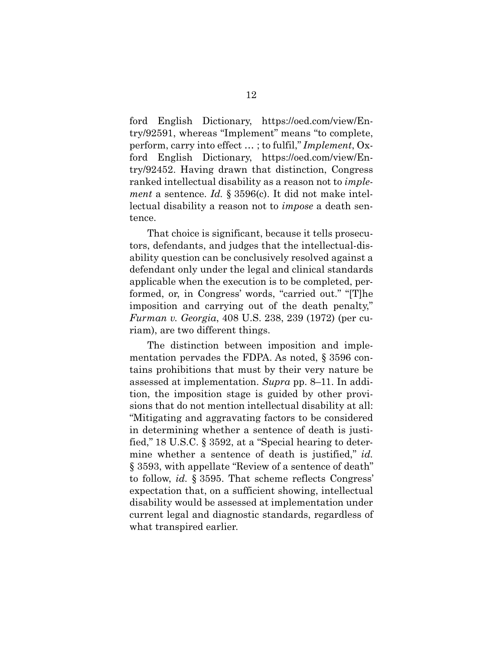ford English Dictionary, https://oed.com/view/Entry/92591, whereas "Implement" means "to complete, perform, carry into effect … ; to fulfil," *Implement*, Oxford English Dictionary, https://oed.com/view/Entry/92452. Having drawn that distinction, Congress ranked intellectual disability as a reason not to *implement* a sentence. *Id.* § 3596(c). It did not make intellectual disability a reason not to *impose* a death sentence.

That choice is significant, because it tells prosecutors, defendants, and judges that the intellectual-disability question can be conclusively resolved against a defendant only under the legal and clinical standards applicable when the execution is to be completed, performed, or, in Congress' words, "carried out." "[T]he imposition and carrying out of the death penalty," *Furman v. Georgia*, 408 U.S. 238, 239 (1972) (per curiam), are two different things.

The distinction between imposition and implementation pervades the FDPA. As noted, § 3596 contains prohibitions that must by their very nature be assessed at implementation. *Supra* pp. 8–11. In addition, the imposition stage is guided by other provisions that do not mention intellectual disability at all: "Mitigating and aggravating factors to be considered in determining whether a sentence of death is justified," 18 U.S.C. § 3592, at a "Special hearing to determine whether a sentence of death is justified," *id.* § 3593, with appellate "Review of a sentence of death" to follow, *id.* § 3595. That scheme reflects Congress' expectation that, on a sufficient showing, intellectual disability would be assessed at implementation under current legal and diagnostic standards, regardless of what transpired earlier.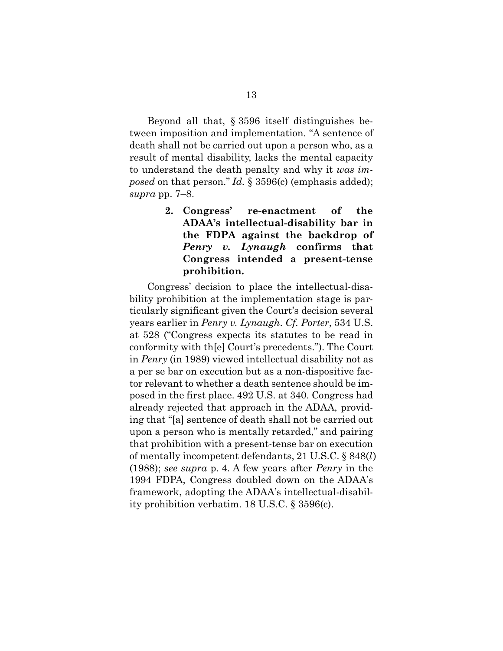Beyond all that, § 3596 itself distinguishes between imposition and implementation. "A sentence of death shall not be carried out upon a person who, as a result of mental disability, lacks the mental capacity to understand the death penalty and why it *was imposed* on that person." *Id.* § 3596(c) (emphasis added); *supra* pp. 7–8.

> **2. Congress' re-enactment of the ADAA's intellectual-disability bar in the FDPA against the backdrop of**  *Penry v. Lynaugh* **confirms that Congress intended a present-tense prohibition.**

Congress' decision to place the intellectual-disability prohibition at the implementation stage is particularly significant given the Court's decision several years earlier in *Penry v. Lynaugh*. *Cf. Porter*, 534 U.S. at 528 ("Congress expects its statutes to be read in conformity with th[e] Court's precedents."). The Court in *Penry* (in 1989) viewed intellectual disability not as a per se bar on execution but as a non-dispositive factor relevant to whether a death sentence should be imposed in the first place. 492 U.S. at 340. Congress had already rejected that approach in the ADAA, providing that "[a] sentence of death shall not be carried out upon a person who is mentally retarded," and pairing that prohibition with a present-tense bar on execution of mentally incompetent defendants, 21 U.S.C. § 848(*l*) (1988); *see supra* p. 4. A few years after *Penry* in the 1994 FDPA, Congress doubled down on the ADAA's framework, adopting the ADAA's intellectual-disability prohibition verbatim. 18 U.S.C. § 3596(c).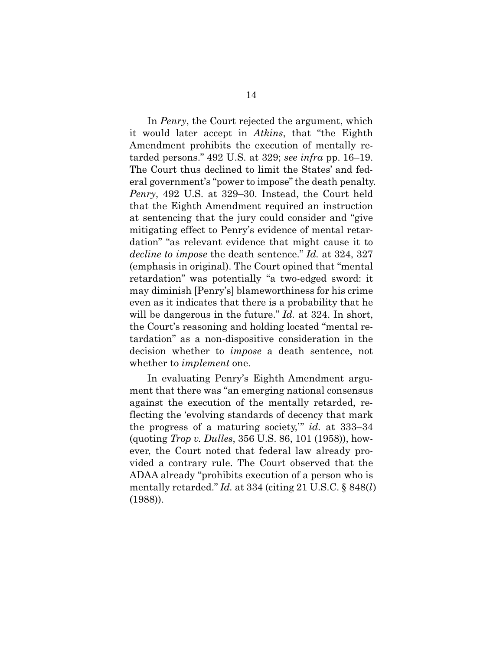In *Penry*, the Court rejected the argument, which it would later accept in *Atkins*, that "the Eighth Amendment prohibits the execution of mentally retarded persons." 492 U.S. at 329; *see infra* pp. 16–19. The Court thus declined to limit the States' and federal government's "power to impose" the death penalty. *Penry*, 492 U.S. at 329–30. Instead, the Court held that the Eighth Amendment required an instruction at sentencing that the jury could consider and "give mitigating effect to Penry's evidence of mental retardation" "as relevant evidence that might cause it to *decline to impose* the death sentence." *Id.* at 324, 327 (emphasis in original). The Court opined that "mental retardation" was potentially "a two-edged sword: it may diminish [Penry's] blameworthiness for his crime even as it indicates that there is a probability that he will be dangerous in the future." *Id.* at 324. In short, the Court's reasoning and holding located "mental retardation" as a non-dispositive consideration in the decision whether to *impose* a death sentence, not whether to *implement* one.

In evaluating Penry's Eighth Amendment argument that there was "an emerging national consensus against the execution of the mentally retarded, reflecting the 'evolving standards of decency that mark the progress of a maturing society,'" *id.* at 333–34 (quoting *Trop v. Dulles*, 356 U.S. 86, 101 (1958)), however, the Court noted that federal law already provided a contrary rule. The Court observed that the ADAA already "prohibits execution of a person who is mentally retarded." *Id.* at 334 (citing 21 U.S.C. § 848(*l*) (1988)).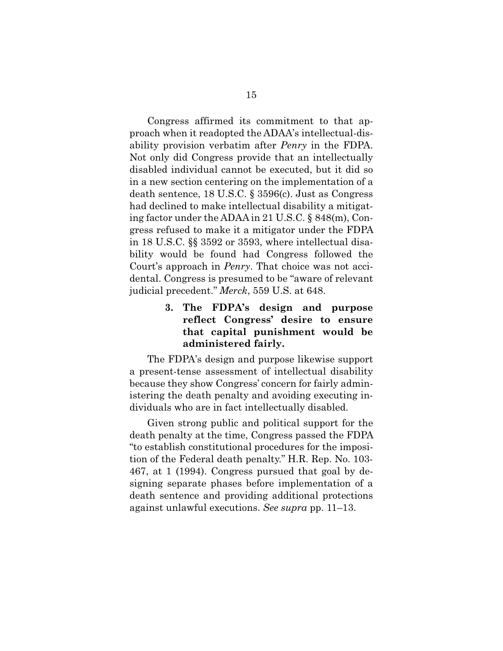Congress affirmed its commitment to that approach when it readopted the ADAA's intellectual-disability provision verbatim after *Penry* in the FDPA. Not only did Congress provide that an intellectually disabled individual cannot be executed, but it did so in a new section centering on the implementation of a death sentence, 18 U.S.C. § 3596(c). Just as Congress had declined to make intellectual disability a mitigating factor under the ADAA in 21 U.S.C. § 848(m), Congress refused to make it a mitigator under the FDPA in 18 U.S.C. §§ 3592 or 3593, where intellectual disability would be found had Congress followed the Court's approach in *Penry*. That choice was not accidental. Congress is presumed to be "aware of relevant judicial precedent." *Merck*, 559 U.S. at 648.

### **3. The FDPA's design and purpose reflect Congress' desire to ensure that capital punishment would be administered fairly.**

The FDPA's design and purpose likewise support a present-tense assessment of intellectual disability because they show Congress' concern for fairly administering the death penalty and avoiding executing individuals who are in fact intellectually disabled.

Given strong public and political support for the death penalty at the time, Congress passed the FDPA "to establish constitutional procedures for the imposition of the Federal death penalty." H.R. Rep. No. 103- 467, at 1 (1994). Congress pursued that goal by designing separate phases before implementation of a death sentence and providing additional protections against unlawful executions. *See supra* pp. 11–13.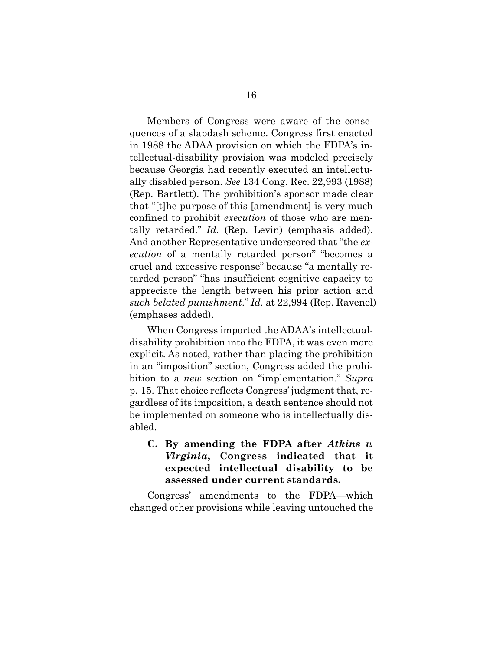Members of Congress were aware of the consequences of a slapdash scheme. Congress first enacted in 1988 the ADAA provision on which the FDPA's intellectual-disability provision was modeled precisely because Georgia had recently executed an intellectually disabled person. *See* 134 Cong. Rec. 22,993 (1988) (Rep. Bartlett). The prohibition's sponsor made clear that "[t]he purpose of this [amendment] is very much confined to prohibit *execution* of those who are mentally retarded." *Id.* (Rep. Levin) (emphasis added). And another Representative underscored that "the *execution* of a mentally retarded person" "becomes a cruel and excessive response" because "a mentally retarded person" "has insufficient cognitive capacity to appreciate the length between his prior action and *such belated punishment*." *Id.* at 22,994 (Rep. Ravenel) (emphases added).

When Congress imported the ADAA's intellectualdisability prohibition into the FDPA, it was even more explicit. As noted, rather than placing the prohibition in an "imposition" section, Congress added the prohibition to a *new* section on "implementation." *Supra* p. 15. That choice reflects Congress' judgment that, regardless of its imposition, a death sentence should not be implemented on someone who is intellectually disabled.

**C. By amending the FDPA after** *Atkins v. Virginia***, Congress indicated that it expected intellectual disability to be assessed under current standards.** 

Congress' amendments to the FDPA—which changed other provisions while leaving untouched the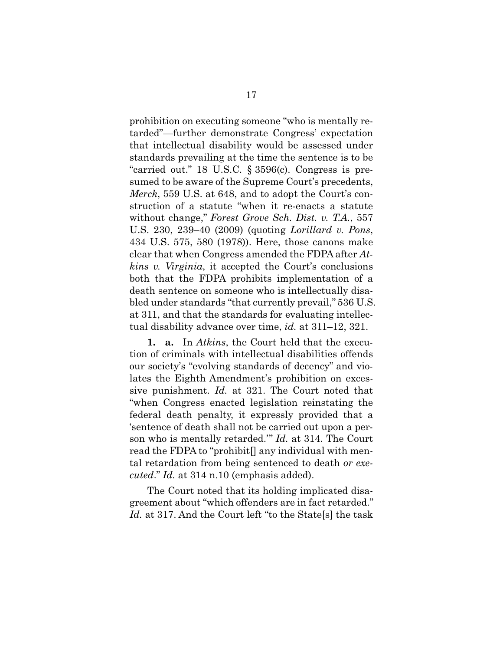prohibition on executing someone "who is mentally retarded"—further demonstrate Congress' expectation that intellectual disability would be assessed under standards prevailing at the time the sentence is to be "carried out." 18 U.S.C. § 3596(c). Congress is presumed to be aware of the Supreme Court's precedents, *Merck*, 559 U.S. at 648, and to adopt the Court's construction of a statute "when it re-enacts a statute without change," *Forest Grove Sch. Dist. v. T.A.*, 557 U.S. 230, 239–40 (2009) (quoting *Lorillard v. Pons*, 434 U.S. 575, 580 (1978)). Here, those canons make clear that when Congress amended the FDPA after *Atkins v. Virginia*, it accepted the Court's conclusions both that the FDPA prohibits implementation of a death sentence on someone who is intellectually disabled under standards "that currently prevail," 536 U.S. at 311, and that the standards for evaluating intellectual disability advance over time, *id.* at 311–12, 321.

**1. a.** In *Atkins*, the Court held that the execution of criminals with intellectual disabilities offends our society's "evolving standards of decency" and violates the Eighth Amendment's prohibition on excessive punishment. *Id.* at 321. The Court noted that "when Congress enacted legislation reinstating the federal death penalty, it expressly provided that a 'sentence of death shall not be carried out upon a person who is mentally retarded.'" *Id.* at 314. The Court read the FDPA to "prohibit[] any individual with mental retardation from being sentenced to death *or executed*." *Id.* at 314 n.10 (emphasis added).

The Court noted that its holding implicated disagreement about "which offenders are in fact retarded." *Id.* at 317. And the Court left "to the State[s] the task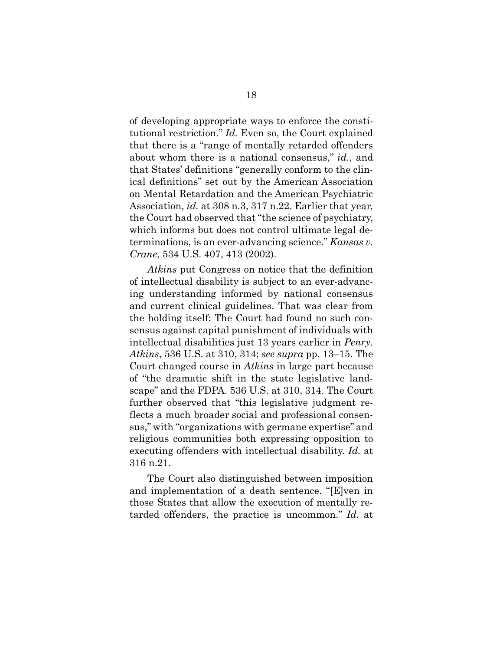of developing appropriate ways to enforce the constitutional restriction." *Id.* Even so, the Court explained that there is a "range of mentally retarded offenders about whom there is a national consensus," *id.*, and that States' definitions "generally conform to the clinical definitions" set out by the American Association on Mental Retardation and the American Psychiatric Association, *id.* at 308 n.3, 317 n.22. Earlier that year, the Court had observed that "the science of psychiatry, which informs but does not control ultimate legal determinations, is an ever-advancing science." *Kansas v. Crane*, 534 U.S. 407, 413 (2002).

*Atkins* put Congress on notice that the definition of intellectual disability is subject to an ever-advancing understanding informed by national consensus and current clinical guidelines. That was clear from the holding itself: The Court had found no such consensus against capital punishment of individuals with intellectual disabilities just 13 years earlier in *Penry*. *Atkins*, 536 U.S. at 310, 314; *see supra* pp. 13–15. The Court changed course in *Atkins* in large part because of "the dramatic shift in the state legislative landscape" and the FDPA. 536 U.S. at 310, 314. The Court further observed that "this legislative judgment reflects a much broader social and professional consensus," with "organizations with germane expertise" and religious communities both expressing opposition to executing offenders with intellectual disability. *Id.* at 316 n.21.

The Court also distinguished between imposition and implementation of a death sentence. "[E]ven in those States that allow the execution of mentally retarded offenders, the practice is uncommon." *Id.* at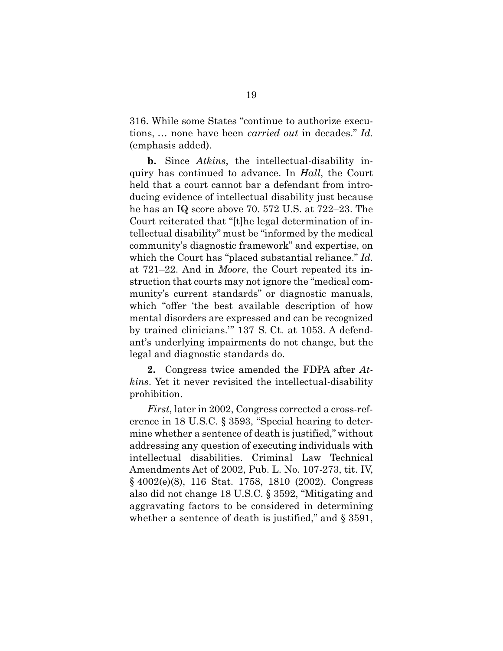316. While some States "continue to authorize executions, … none have been *carried out* in decades." *Id.* (emphasis added).

**b.** Since *Atkins*, the intellectual-disability inquiry has continued to advance. In *Hall*, the Court held that a court cannot bar a defendant from introducing evidence of intellectual disability just because he has an IQ score above 70. 572 U.S. at 722–23. The Court reiterated that "[t]he legal determination of intellectual disability" must be "informed by the medical community's diagnostic framework" and expertise, on which the Court has "placed substantial reliance." *Id.* at 721–22. And in *Moore*, the Court repeated its instruction that courts may not ignore the "medical community's current standards" or diagnostic manuals, which "offer 'the best available description of how mental disorders are expressed and can be recognized by trained clinicians.'" 137 S. Ct. at 1053. A defendant's underlying impairments do not change, but the legal and diagnostic standards do.

**2.** Congress twice amended the FDPA after *Atkins*. Yet it never revisited the intellectual-disability prohibition.

*First*, later in 2002, Congress corrected a cross-reference in 18 U.S.C. § 3593, "Special hearing to determine whether a sentence of death is justified," without addressing any question of executing individuals with intellectual disabilities. Criminal Law Technical Amendments Act of 2002, Pub. L. No. 107-273, tit. IV, § 4002(e)(8), 116 Stat. 1758, 1810 (2002). Congress also did not change 18 U.S.C. § 3592, "Mitigating and aggravating factors to be considered in determining whether a sentence of death is justified," and  $\S 3591$ ,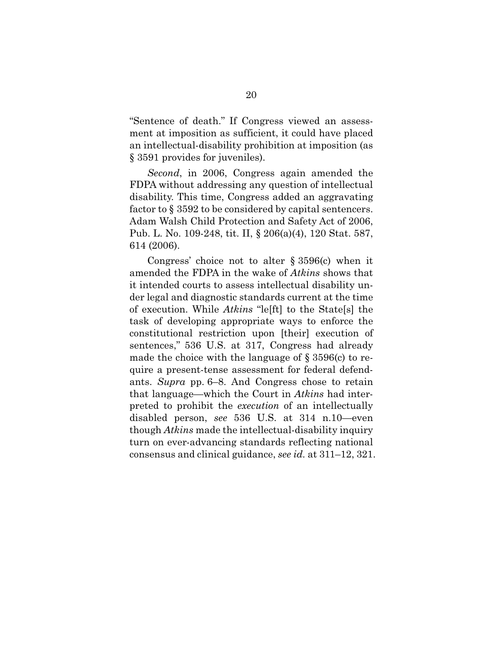"Sentence of death." If Congress viewed an assessment at imposition as sufficient, it could have placed an intellectual-disability prohibition at imposition (as § 3591 provides for juveniles).

*Second*, in 2006, Congress again amended the FDPA without addressing any question of intellectual disability. This time, Congress added an aggravating factor to § 3592 to be considered by capital sentencers. Adam Walsh Child Protection and Safety Act of 2006, Pub. L. No. 109-248, tit. II, § 206(a)(4), 120 Stat. 587, 614 (2006).

Congress' choice not to alter § 3596(c) when it amended the FDPA in the wake of *Atkins* shows that it intended courts to assess intellectual disability under legal and diagnostic standards current at the time of execution. While *Atkins* "le[ft] to the State[s] the task of developing appropriate ways to enforce the constitutional restriction upon [their] execution of sentences," 536 U.S. at 317, Congress had already made the choice with the language of § 3596(c) to require a present-tense assessment for federal defendants. *Supra* pp. 6–8. And Congress chose to retain that language—which the Court in *Atkins* had interpreted to prohibit the *execution* of an intellectually disabled person, *see* 536 U.S. at 314 n.10—even though *Atkins* made the intellectual-disability inquiry turn on ever-advancing standards reflecting national consensus and clinical guidance, *see id.* at 311–12, 321.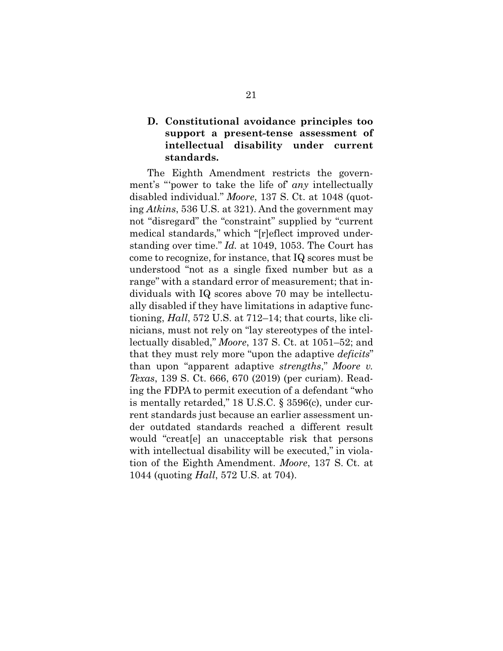### **D. Constitutional avoidance principles too support a present-tense assessment of intellectual disability under current standards.**

The Eighth Amendment restricts the government's "'power to take the life of' *any* intellectually disabled individual." *Moore*, 137 S. Ct. at 1048 (quoting *Atkins*, 536 U.S. at 321). And the government may not "disregard" the "constraint" supplied by "current medical standards," which "[r]eflect improved understanding over time." *Id.* at 1049, 1053. The Court has come to recognize, for instance, that IQ scores must be understood "not as a single fixed number but as a range" with a standard error of measurement; that individuals with IQ scores above 70 may be intellectually disabled if they have limitations in adaptive functioning, *Hall*, 572 U.S. at 712–14; that courts, like clinicians, must not rely on "lay stereotypes of the intellectually disabled," *Moore*, 137 S. Ct. at 1051–52; and that they must rely more "upon the adaptive *deficits*" than upon "apparent adaptive *strengths*," *Moore v. Texas*, 139 S. Ct. 666, 670 (2019) (per curiam). Reading the FDPA to permit execution of a defendant "who is mentally retarded," 18 U.S.C. § 3596(c), under current standards just because an earlier assessment under outdated standards reached a different result would "creat[e] an unacceptable risk that persons with intellectual disability will be executed," in violation of the Eighth Amendment. *Moore*, 137 S. Ct. at 1044 (quoting *Hall*, 572 U.S. at 704).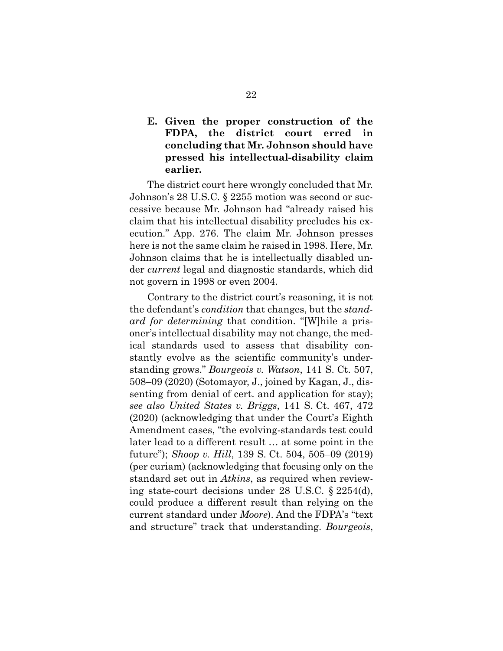### **E. Given the proper construction of the FDPA, the district court erred in concluding that Mr. Johnson should have pressed his intellectual-disability claim earlier.**

The district court here wrongly concluded that Mr. Johnson's 28 U.S.C. § 2255 motion was second or successive because Mr. Johnson had "already raised his claim that his intellectual disability precludes his execution." App. 276. The claim Mr. Johnson presses here is not the same claim he raised in 1998. Here, Mr. Johnson claims that he is intellectually disabled under *current* legal and diagnostic standards, which did not govern in 1998 or even 2004.

Contrary to the district court's reasoning, it is not the defendant's *condition* that changes, but the *standard for determining* that condition. "[W]hile a prisoner's intellectual disability may not change, the medical standards used to assess that disability constantly evolve as the scientific community's understanding grows." *Bourgeois v. Watson*, 141 S. Ct. 507, 508–09 (2020) (Sotomayor, J., joined by Kagan, J., dissenting from denial of cert. and application for stay); *see also United States v. Briggs*, 141 S. Ct. 467, 472 (2020) (acknowledging that under the Court's Eighth Amendment cases, "the evolving-standards test could later lead to a different result … at some point in the future"); *Shoop v. Hill*, 139 S. Ct. 504, 505–09 (2019) (per curiam) (acknowledging that focusing only on the standard set out in *Atkins*, as required when reviewing state-court decisions under 28 U.S.C. § 2254(d), could produce a different result than relying on the current standard under *Moore*). And the FDPA's "text and structure" track that understanding. *Bourgeois*,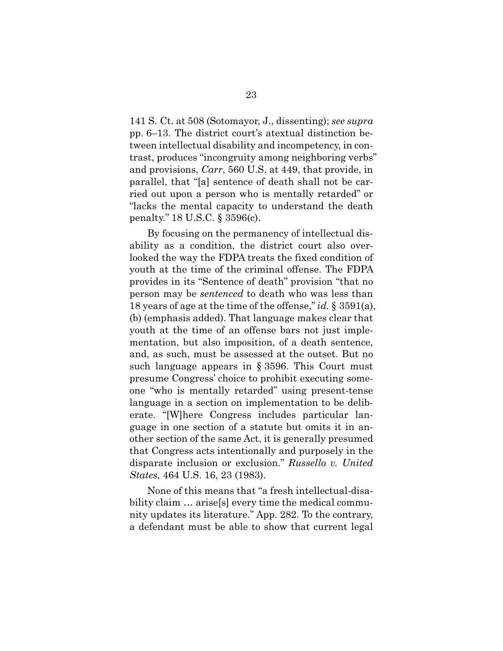141 S. Ct. at 508 (Sotomayor, J., dissenting); *see supra* pp. 6–13. The district court's atextual distinction between intellectual disability and incompetency, in contrast, produces "incongruity among neighboring verbs" and provisions, *Carr*, 560 U.S. at 449, that provide, in parallel, that "[a] sentence of death shall not be carried out upon a person who is mentally retarded" or "lacks the mental capacity to understand the death penalty." 18 U.S.C. § 3596(c).

By focusing on the permanency of intellectual disability as a condition, the district court also overlooked the way the FDPA treats the fixed condition of youth at the time of the criminal offense. The FDPA provides in its "Sentence of death" provision "that no person may be *sentenced* to death who was less than 18 years of age at the time of the offense," *id.* § 3591(a), (b) (emphasis added). That language makes clear that youth at the time of an offense bars not just implementation, but also imposition, of a death sentence, and, as such, must be assessed at the outset. But no such language appears in § 3596. This Court must presume Congress' choice to prohibit executing someone "who is mentally retarded" using present-tense language in a section on implementation to be deliberate. "[W]here Congress includes particular language in one section of a statute but omits it in another section of the same Act, it is generally presumed that Congress acts intentionally and purposely in the disparate inclusion or exclusion." *Russello v. United States*, 464 U.S. 16, 23 (1983).

None of this means that "a fresh intellectual-disability claim  $\ldots$  arise[s] every time the medical community updates its literature." App. 282. To the contrary, a defendant must be able to show that current legal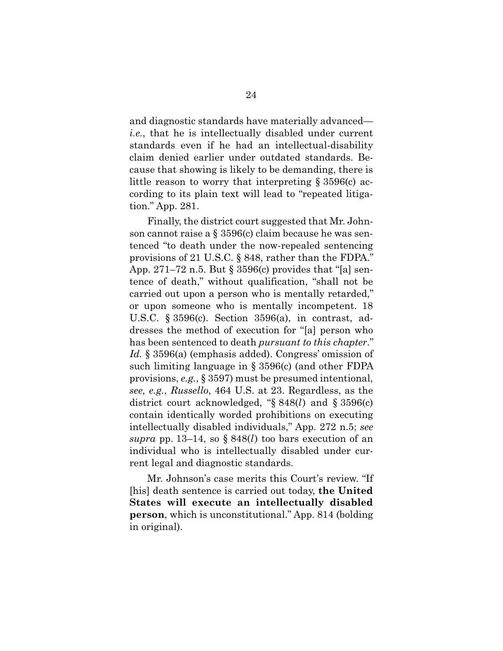and diagnostic standards have materially advanced *i.e.*, that he is intellectually disabled under current standards even if he had an intellectual-disability claim denied earlier under outdated standards. Because that showing is likely to be demanding, there is little reason to worry that interpreting § 3596(c) according to its plain text will lead to "repeated litigation." App. 281.

Finally, the district court suggested that Mr. Johnson cannot raise a  $\S 3596(c)$  claim because he was sentenced "to death under the now-repealed sentencing provisions of 21 U.S.C. § 848, rather than the FDPA." App. 271–72 n.5. But § 3596(c) provides that "[a] sentence of death," without qualification, "shall not be carried out upon a person who is mentally retarded," or upon someone who is mentally incompetent. 18 U.S.C. § 3596(c). Section 3596(a), in contrast, addresses the method of execution for "[a] person who has been sentenced to death *pursuant to this chapter*." *Id.* § 3596(a) (emphasis added). Congress' omission of such limiting language in § 3596(c) (and other FDPA provisions, *e.g.*, § 3597) must be presumed intentional, *see, e.g.*, *Russello*, 464 U.S. at 23. Regardless, as the district court acknowledged, "§ 848(*l*) and § 3596(c) contain identically worded prohibitions on executing intellectually disabled individuals," App. 272 n.5; *see supra* pp. 13–14, so § 848(*l*) too bars execution of an individual who is intellectually disabled under current legal and diagnostic standards.

Mr. Johnson's case merits this Court's review. "If [his] death sentence is carried out today, **the United States will execute an intellectually disabled person**, which is unconstitutional." App. 814 (bolding in original).